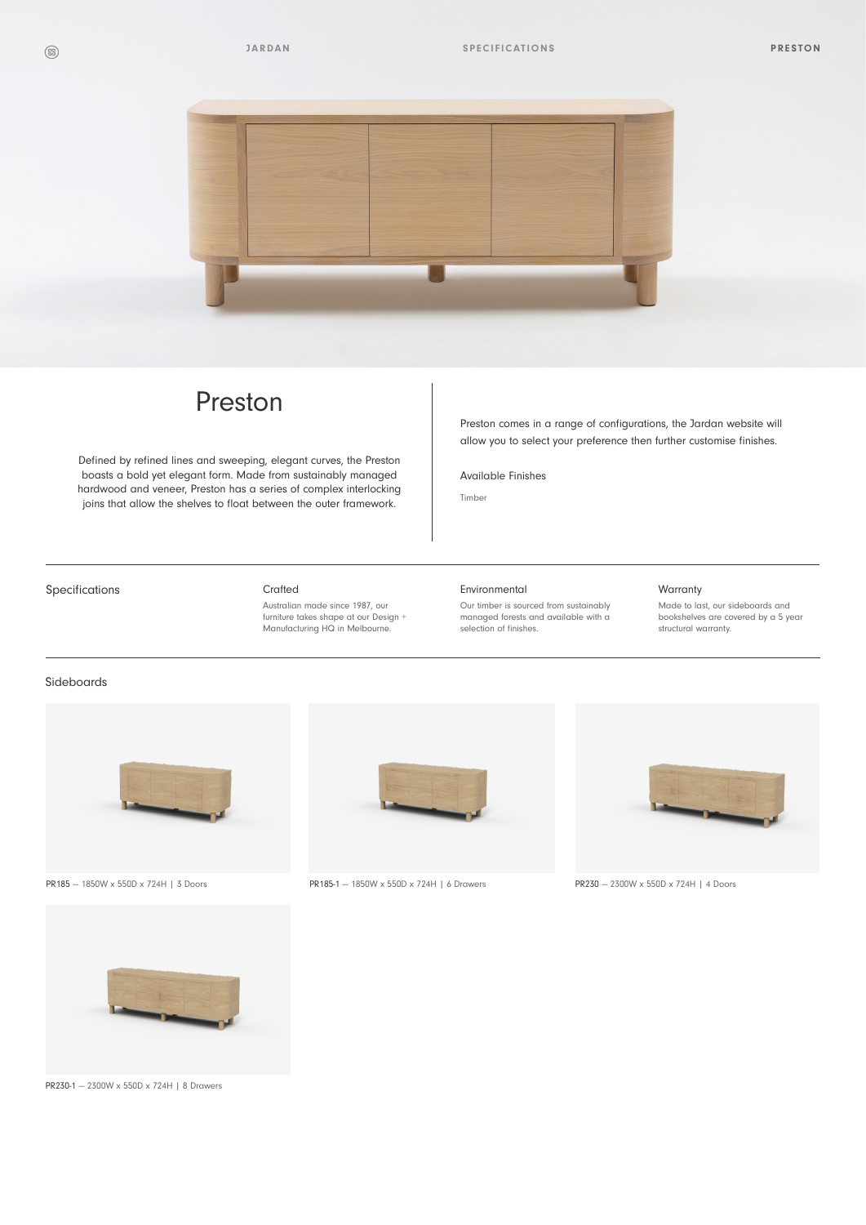

# Preston

Defined by refined lines and sweeping, elegant curves, the Preston boasts a bold yet elegant form. Made from sustainably managed hardwood and veneer, Preston has a series of complex interlocking joins that allow the shelves to float between the outer framework.

Preston comes in a range of configurations, the Jardan website will allow you to select your preference then further customise finishes.

Available Finishes

Timber

## Specifications **Crafted**

Australian made since 1987, our furniture takes shape at our Design + Manufacturing HQ in Melbourne.

#### Environmental

Our timber is sourced from sustainably managed forests and available with a selection of finishes.

### Warranty

Made to last, our sideboards and bookshelves are covered by a 5 year structural warranty.

# Sideboards





PR230-1 — 2300W x 550D x 724H | 8 Drawers



PR185 — 1850W x 550D x 724H | 3 Doors PR185-1 — 1850W x 550D x 724H | 6 Drawers PR230 — 2300W x 550D x 724H | 4 Doors